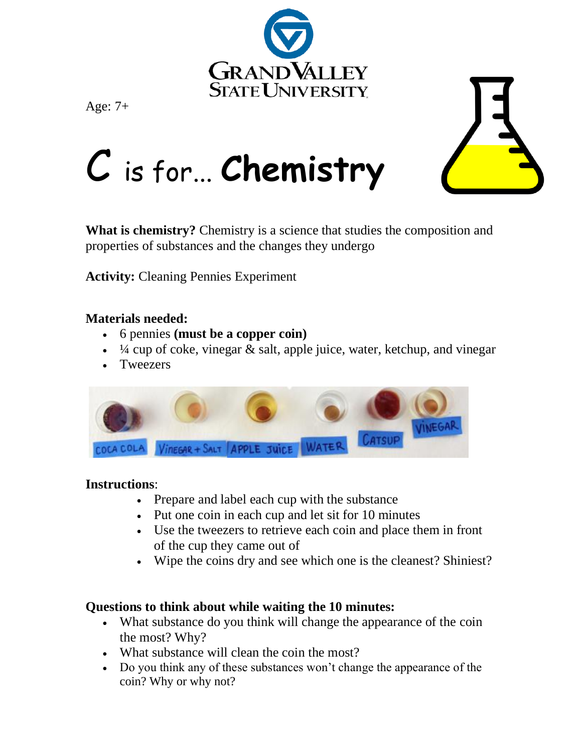





# C is for... **Chemistry**

**What is chemistry?** Chemistry is a science that studies the composition and properties of substances and the changes they undergo

**Activity:** Cleaning Pennies Experiment

## **Materials needed:**

- 6 pennies **(must be a copper coin)**
- $\frac{1}{4}$  cup of coke, vinegar & salt, apple juice, water, ketchup, and vinegar
- Tweezers



## **Instructions**:

- Prepare and label each cup with the substance
- Put one coin in each cup and let sit for 10 minutes
- Use the tweezers to retrieve each coin and place them in front of the cup they came out of
- Wipe the coins dry and see which one is the cleanest? Shiniest?

## **Questions to think about while waiting the 10 minutes:**

- What substance do you think will change the appearance of the coin the most? Why?
- What substance will clean the coin the most?
- Do you think any of these substances won't change the appearance of the coin? Why or why not?